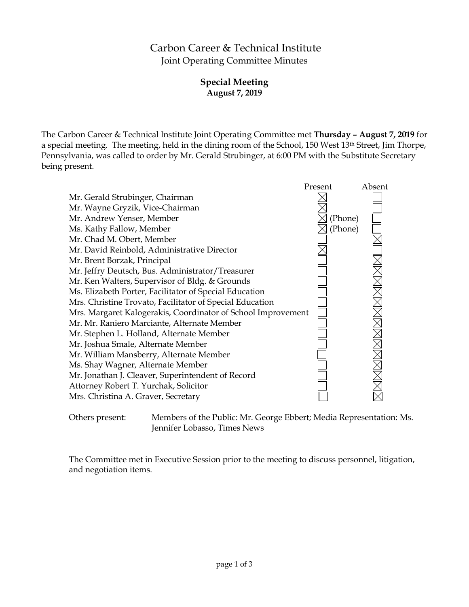# Carbon Career & Technical Institute Joint Operating Committee Minutes

# **Special Meeting August 7, 2019**

The Carbon Career & Technical Institute Joint Operating Committee met **Thursday – August 7, 2019** for a special meeting. The meeting, held in the dining room of the School, 150 West 13th Street, Jim Thorpe, Pennsylvania, was called to order by Mr. Gerald Strubinger, at 6:00 PM with the Substitute Secretary being present.



Others present: Members of the Public: Mr. George Ebbert; Media Representation: Ms. Jennifer Lobasso, Times News

The Committee met in Executive Session prior to the meeting to discuss personnel, litigation, and negotiation items.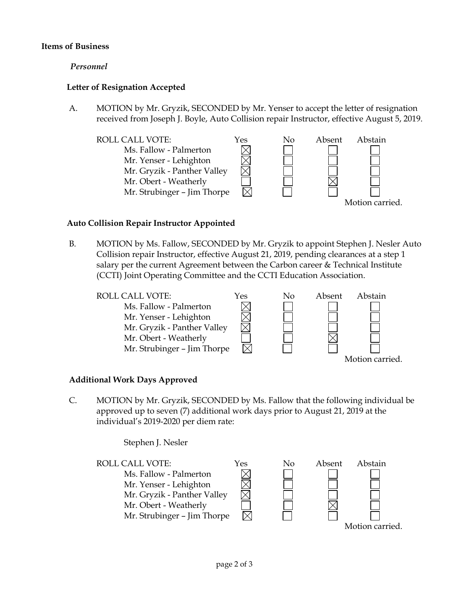## **Items of Business**

### *Personnel*

## **Letter of Resignation Accepted**

A. MOTION by Mr. Gryzik, SECONDED by Mr. Yenser to accept the letter of resignation received from Joseph J. Boyle, Auto Collision repair Instructor, effective August 5, 2019.



### **Auto Collision Repair Instructor Appointed**

B. MOTION by Ms. Fallow, SECONDED by Mr. Gryzik to appoint Stephen J. Nesler Auto Collision repair Instructor, effective August 21, 2019, pending clearances at a step 1 salary per the current Agreement between the Carbon career & Technical Institute (CCTI) Joint Operating Committee and the CCTI Education Association.



### **Additional Work Days Approved**

C. MOTION by Mr. Gryzik, SECONDED by Ms. Fallow that the following individual be approved up to seven (7) additional work days prior to August 21, 2019 at the individual's 2019-2020 per diem rate:

Stephen J. Nesler